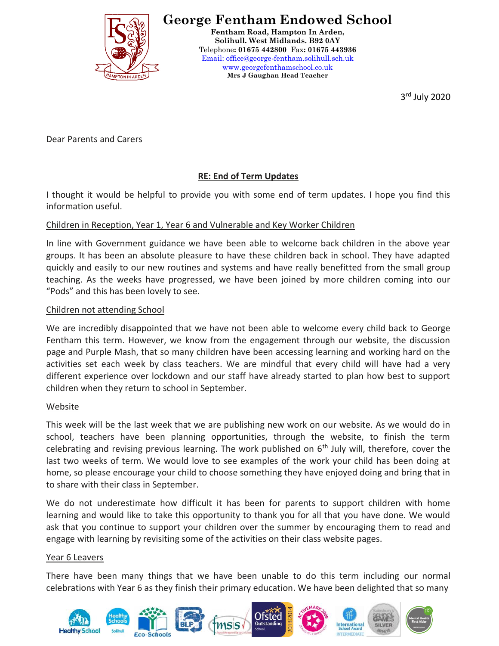

# **George Fentham Endowed School**

**Fentham Road, Hampton In Arden, Solihull. West Midlands. B92 0AY** Telephone**: 01675 442800** Fax**: 01675 443936** Email: office@george-fentham.solihull.sch.uk www.georgefenthamschool.co.uk **Mrs J Gaughan Head Teacher**

3 rd July 2020

Dear Parents and Carers

# **RE: End of Term Updates**

I thought it would be helpful to provide you with some end of term updates. I hope you find this information useful.

# Children in Reception, Year 1, Year 6 and Vulnerable and Key Worker Children

In line with Government guidance we have been able to welcome back children in the above year groups. It has been an absolute pleasure to have these children back in school. They have adapted quickly and easily to our new routines and systems and have really benefitted from the small group teaching. As the weeks have progressed, we have been joined by more children coming into our "Pods" and this has been lovely to see.

# Children not attending School

We are incredibly disappointed that we have not been able to welcome every child back to George Fentham this term. However, we know from the engagement through our website, the discussion page and Purple Mash, that so many children have been accessing learning and working hard on the activities set each week by class teachers. We are mindful that every child will have had a very different experience over lockdown and our staff have already started to plan how best to support children when they return to school in September.

## Website

This week will be the last week that we are publishing new work on our website. As we would do in school, teachers have been planning opportunities, through the website, to finish the term celebrating and revising previous learning. The work published on  $6<sup>th</sup>$  July will, therefore, cover the last two weeks of term. We would love to see examples of the work your child has been doing at home, so please encourage your child to choose something they have enjoyed doing and bring that in to share with their class in September.

We do not underestimate how difficult it has been for parents to support children with home learning and would like to take this opportunity to thank you for all that you have done. We would ask that you continue to support your children over the summer by encouraging them to read and engage with learning by revisiting some of the activities on their class website pages.

## Year 6 Leavers

There have been many things that we have been unable to do this term including our normal celebrations with Year 6 as they finish their primary education. We have been delighted that so many

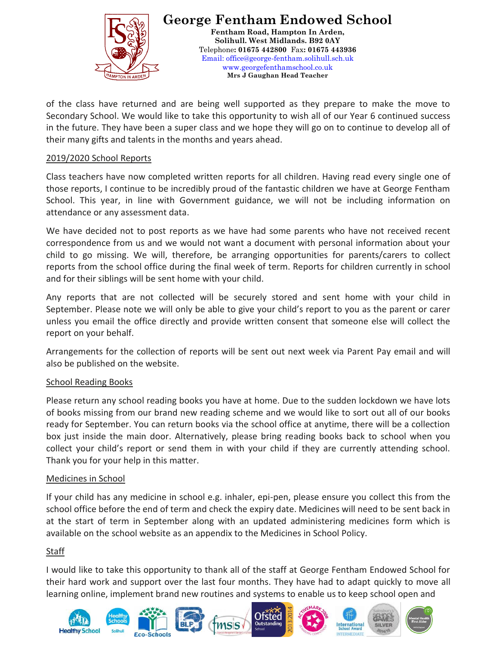

**George Fentham Endowed School Fentham Road, Hampton In Arden, Solihull. West Midlands. B92 0AY** Telephone**: 01675 442800** Fax**: 01675 443936** Email: office@george-fentham.solihull.sch.uk www.georgefenthamschool.co.uk **Mrs J Gaughan Head Teacher**

of the class have returned and are being well supported as they prepare to make the move to Secondary School. We would like to take this opportunity to wish all of our Year 6 continued success in the future. They have been a super class and we hope they will go on to continue to develop all of their many gifts and talents in the months and years ahead.

## 2019/2020 School Reports

Class teachers have now completed written reports for all children. Having read every single one of those reports, I continue to be incredibly proud of the fantastic children we have at George Fentham School. This year, in line with Government guidance, we will not be including information on attendance or any assessment data.

We have decided not to post reports as we have had some parents who have not received recent correspondence from us and we would not want a document with personal information about your child to go missing. We will, therefore, be arranging opportunities for parents/carers to collect reports from the school office during the final week of term. Reports for children currently in school and for their siblings will be sent home with your child.

Any reports that are not collected will be securely stored and sent home with your child in September. Please note we will only be able to give your child's report to you as the parent or carer unless you email the office directly and provide written consent that someone else will collect the report on your behalf.

Arrangements for the collection of reports will be sent out next week via Parent Pay email and will also be published on the website.

## School Reading Books

Please return any school reading books you have at home. Due to the sudden lockdown we have lots of books missing from our brand new reading scheme and we would like to sort out all of our books ready for September. You can return books via the school office at anytime, there will be a collection box just inside the main door. Alternatively, please bring reading books back to school when you collect your child's report or send them in with your child if they are currently attending school. Thank you for your help in this matter.

#### Medicines in School

If your child has any medicine in school e.g. inhaler, epi-pen, please ensure you collect this from the school office before the end of term and check the expiry date. Medicines will need to be sent back in at the start of term in September along with an updated administering medicines form which is available on the school website as an appendix to the Medicines in School Policy.

## **Staff**

I would like to take this opportunity to thank all of the staff at George Fentham Endowed School for their hard work and support over the last four months. They have had to adapt quickly to move all learning online, implement brand new routines and systems to enable us to keep school open and